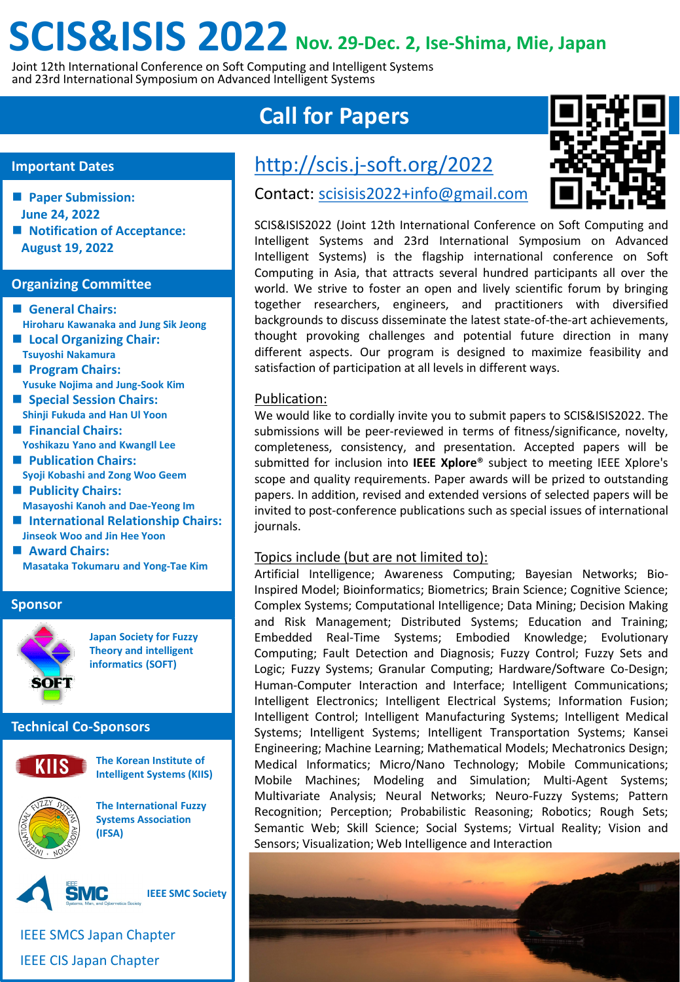## **SCIS&ISIS 2022 Nov. 29-Dec. 2, Ise-Shima, Mie, Japan**

Joint 12th International Conference on Soft Computing and Intelligent Systems and 23rd International Symposium on Advanced Intelligent Systems

### **Important Dates**

- **Paper Submission: June 24, 2022**
- Notification of Acceptance: **August 19, 2022**

#### **Organizing Committee**

- **General Chairs: Hiroharu Kawanaka and Jung Sik Jeong** ■ Local Organizing Chair:
- **Tsuyoshi Nakamura Program Chairs:**
- **Yusuke Nojima and Jung-Sook Kim**
- **Special Session Chairs: Shinji Fukuda and Han Ul Yoon**
- **Financial Chairs: Yoshikazu Yano and KwangIl Lee**
- **Publication Chairs: Syoji Kobashi and Zong Woo Geem**
- **Publicity Chairs: Masayoshi Kanoh and Dae-Yeong Im**
- **International Relationship Chairs: Jinseok Woo and Jin Hee Yoon**
- **Award Chairs: Masataka Tokumaru and Yong-Tae Kim**

### **Sponsor**



**Japan Society for Fuzzy Theory and intelligent informatics (SOFT)**

### **Technical Co-Sponsors**



**The Korean Institute of Intelligent Systems (KIIS)**



**The International Fuzzy Systems Association (IFSA)**



IEEE SMCS Japan Chapter IEEE CIS Japan Chapter

### **Call for Papers**

## <http://scis.j-soft.org/2022>

Contact: [scisisis2022+info@gmail.com](mailto:scisisis2022+info@gmail.com)

SCIS&ISIS2022 (Joint 12th International Conference on Soft Computing and Intelligent Systems and 23rd International Symposium on Advanced Intelligent Systems) is the flagship international conference on Soft Computing in Asia, that attracts several hundred participants all over the world. We strive to foster an open and lively scientific forum by bringing together researchers, engineers, and practitioners with diversified backgrounds to discuss disseminate the latest state-of-the-art achievements, thought provoking challenges and potential future direction in many different aspects. Our program is designed to maximize feasibility and satisfaction of participation at all levels in different ways.

### Publication:

We would like to cordially invite you to submit papers to SCIS&ISIS2022. The submissions will be peer-reviewed in terms of fitness/significance, novelty, completeness, consistency, and presentation. Accepted papers will be submitted for inclusion into **IEEE Xplore**® subject to meeting IEEE Xplore's scope and quality requirements. Paper awards will be prized to outstanding papers. In addition, revised and extended versions of selected papers will be invited to post-conference publications such as special issues of international journals.

### Topics include (but are not limited to):

Artificial Intelligence; Awareness Computing; Bayesian Networks; Bio-Inspired Model; Bioinformatics; Biometrics; Brain Science; Cognitive Science; Complex Systems; Computational Intelligence; Data Mining; Decision Making and Risk Management; Distributed Systems; Education and Training; Embedded Real-Time Systems; Embodied Knowledge; Evolutionary Computing; Fault Detection and Diagnosis; Fuzzy Control; Fuzzy Sets and Logic; Fuzzy Systems; Granular Computing; Hardware/Software Co-Design; Human-Computer Interaction and Interface; Intelligent Communications; Intelligent Electronics; Intelligent Electrical Systems; Information Fusion; Intelligent Control; Intelligent Manufacturing Systems; Intelligent Medical Systems; Intelligent Systems; Intelligent Transportation Systems; Kansei Engineering; Machine Learning; Mathematical Models; Mechatronics Design; Medical Informatics; Micro/Nano Technology; Mobile Communications; Mobile Machines; Modeling and Simulation; Multi-Agent Systems; Multivariate Analysis; Neural Networks; Neuro-Fuzzy Systems; Pattern Recognition; Perception; Probabilistic Reasoning; Robotics; Rough Sets; Semantic Web; Skill Science; Social Systems; Virtual Reality; Vision and Sensors; Visualization; Web Intelligence and Interaction